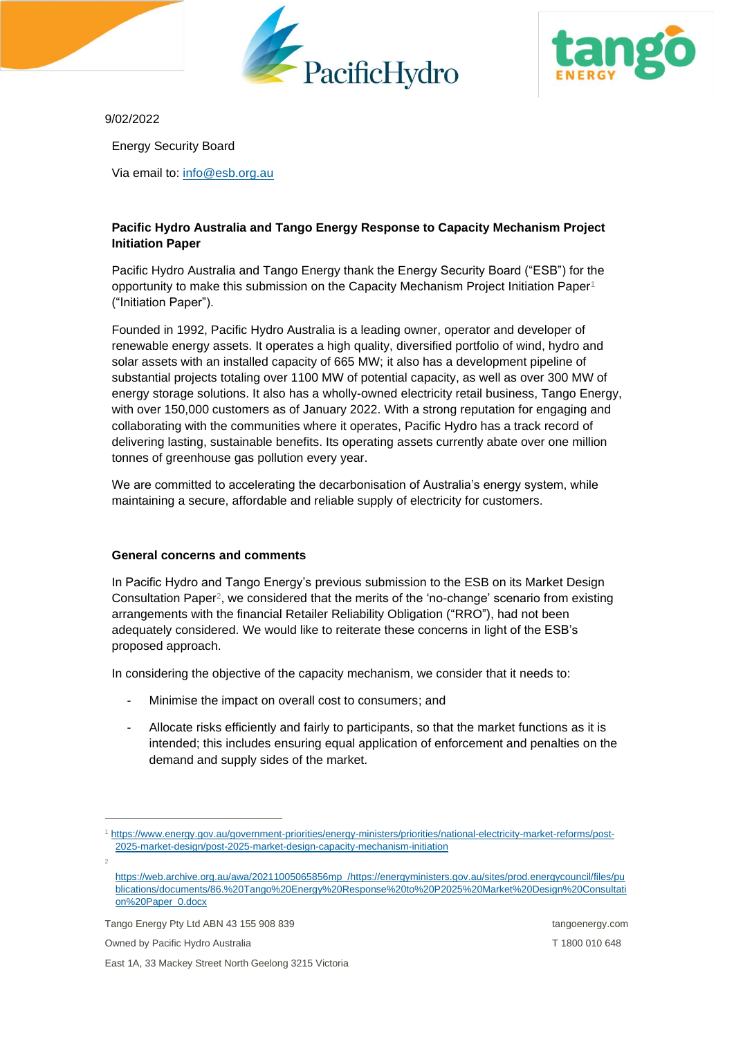



9/02/2022

Energy Security Board

Via email to: [info@esb.org.au](mailto:info@esb.org.au)

# **Pacific Hydro Australia and Tango Energy Response to Capacity Mechanism Project Initiation Paper**

Pacific Hydro Australia and Tango Energy thank the Energy Security Board ("ESB") for the opportunity to make this submission on the Capacity Mechanism Project Initiation Paper<sup>1</sup> ("Initiation Paper").

Founded in 1992, Pacific Hydro Australia is a leading owner, operator and developer of renewable energy assets. It operates a high quality, diversified portfolio of wind, hydro and solar assets with an installed capacity of 665 MW; it also has a development pipeline of substantial projects totaling over 1100 MW of potential capacity, as well as over 300 MW of energy storage solutions. It also has a wholly-owned electricity retail business, Tango Energy, with over 150,000 customers as of January 2022. With a strong reputation for engaging and collaborating with the communities where it operates, Pacific Hydro has a track record of delivering lasting, sustainable benefits. Its operating assets currently abate over one million tonnes of greenhouse gas pollution every year.

We are committed to accelerating the decarbonisation of Australia's energy system, while maintaining a secure, affordable and reliable supply of electricity for customers.

## **General concerns and comments**

In Pacific Hydro and Tango Energy's previous submission to the ESB on its Market Design Consultation Paper<sup>2</sup>, we considered that the merits of the 'no-change' scenario from existing arrangements with the financial Retailer Reliability Obligation ("RRO"), had not been adequately considered. We would like to reiterate these concerns in light of the ESB's proposed approach.

In considering the objective of the capacity mechanism, we consider that it needs to:

- Minimise the impact on overall cost to consumers; and
- Allocate risks efficiently and fairly to participants, so that the market functions as it is intended; this includes ensuring equal application of enforcement and penalties on the demand and supply sides of the market.

Tango Energy Pty Ltd ABN 43 155 908 839 tangoenergy.com tangoenergy.com

Owned by Pacific Hydro Australia T 1800 010 648

2

East 1A, 33 Mackey Street North Geelong 3215 Victoria

<sup>1</sup> [https://www.energy.gov.au/government-priorities/energy-ministers/priorities/national-electricity-market-reforms/post-](https://www.energy.gov.au/government-priorities/energy-ministers/priorities/national-electricity-market-reforms/post-2025-market-design/post-2025-market-design-capacity-mechanism-initiation)[2025-market-design/post-2025-market-design-capacity-mechanism-initiation](https://www.energy.gov.au/government-priorities/energy-ministers/priorities/national-electricity-market-reforms/post-2025-market-design/post-2025-market-design-capacity-mechanism-initiation)

[https://web.archive.org.au/awa/20211005065856mp\\_/https://energyministers.gov.au/sites/prod.energycouncil/files/pu](https://web.archive.org.au/awa/20211005065856mp_/https:/energyministers.gov.au/sites/prod.energycouncil/files/publications/documents/86.%20Tango%20Energy%20Response%20to%20P2025%20Market%20Design%20Consultation%20Paper_0.docx) [blications/documents/86.%20Tango%20Energy%20Response%20to%20P2025%20Market%20Design%20Consultati](https://web.archive.org.au/awa/20211005065856mp_/https:/energyministers.gov.au/sites/prod.energycouncil/files/publications/documents/86.%20Tango%20Energy%20Response%20to%20P2025%20Market%20Design%20Consultation%20Paper_0.docx) [on%20Paper\\_0.docx](https://web.archive.org.au/awa/20211005065856mp_/https:/energyministers.gov.au/sites/prod.energycouncil/files/publications/documents/86.%20Tango%20Energy%20Response%20to%20P2025%20Market%20Design%20Consultation%20Paper_0.docx)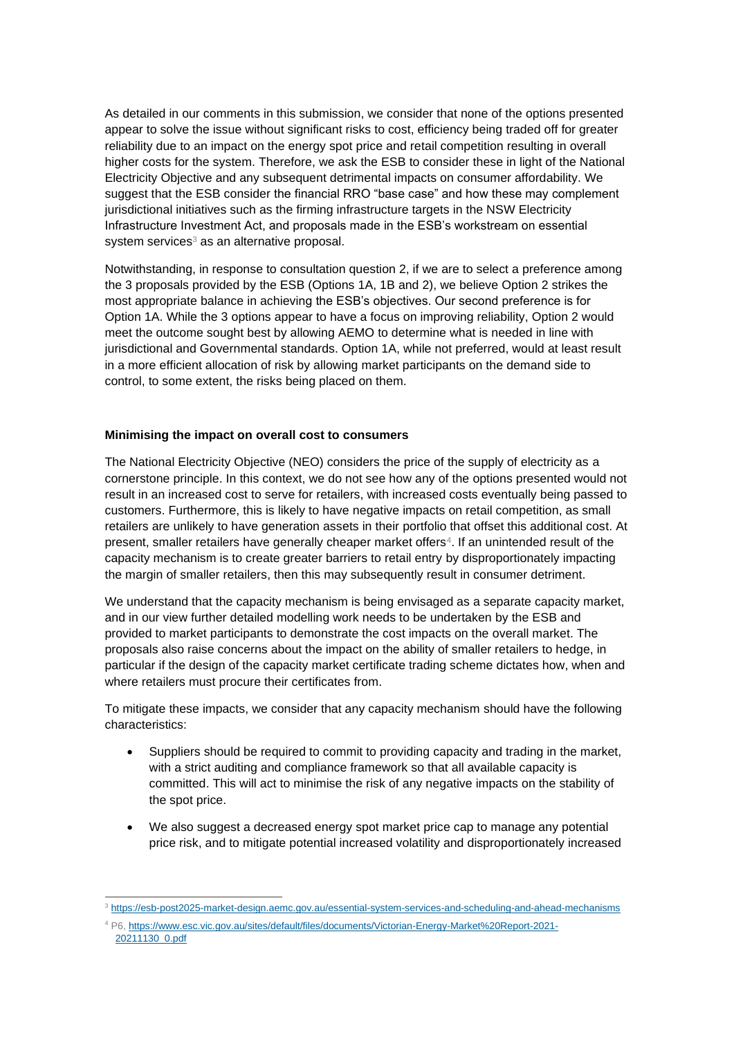As detailed in our comments in this submission, we consider that none of the options presented appear to solve the issue without significant risks to cost, efficiency being traded off for greater reliability due to an impact on the energy spot price and retail competition resulting in overall higher costs for the system. Therefore, we ask the ESB to consider these in light of the National Electricity Objective and any subsequent detrimental impacts on consumer affordability. We suggest that the ESB consider the financial RRO "base case" and how these may complement jurisdictional initiatives such as the firming infrastructure targets in the NSW Electricity Infrastructure Investment Act, and proposals made in the ESB's workstream on essential system services<sup>3</sup> as an alternative proposal.

Notwithstanding, in response to consultation question 2, if we are to select a preference among the 3 proposals provided by the ESB (Options 1A, 1B and 2), we believe Option 2 strikes the most appropriate balance in achieving the ESB's objectives. Our second preference is for Option 1A. While the 3 options appear to have a focus on improving reliability, Option 2 would meet the outcome sought best by allowing AEMO to determine what is needed in line with jurisdictional and Governmental standards. Option 1A, while not preferred, would at least result in a more efficient allocation of risk by allowing market participants on the demand side to control, to some extent, the risks being placed on them.

### **Minimising the impact on overall cost to consumers**

The National Electricity Objective (NEO) considers the price of the supply of electricity as a cornerstone principle. In this context, we do not see how any of the options presented would not result in an increased cost to serve for retailers, with increased costs eventually being passed to customers. Furthermore, this is likely to have negative impacts on retail competition, as small retailers are unlikely to have generation assets in their portfolio that offset this additional cost. At present, smaller retailers have generally cheaper market offers<sup>4</sup>. If an unintended result of the capacity mechanism is to create greater barriers to retail entry by disproportionately impacting the margin of smaller retailers, then this may subsequently result in consumer detriment.

We understand that the capacity mechanism is being envisaged as a separate capacity market, and in our view further detailed modelling work needs to be undertaken by the ESB and provided to market participants to demonstrate the cost impacts on the overall market. The proposals also raise concerns about the impact on the ability of smaller retailers to hedge, in particular if the design of the capacity market certificate trading scheme dictates how, when and where retailers must procure their certificates from.

To mitigate these impacts, we consider that any capacity mechanism should have the following characteristics:

- Suppliers should be required to commit to providing capacity and trading in the market, with a strict auditing and compliance framework so that all available capacity is committed. This will act to minimise the risk of any negative impacts on the stability of the spot price.
- We also suggest a decreased energy spot market price cap to manage any potential price risk, and to mitigate potential increased volatility and disproportionately increased

<sup>3</sup> <https://esb-post2025-market-design.aemc.gov.au/essential-system-services-and-scheduling-and-ahead-mechanisms>

<sup>4</sup> P6[, https://www.esc.vic.gov.au/sites/default/files/documents/Victorian-Energy-Market%20Report-2021-](https://www.esc.vic.gov.au/sites/default/files/documents/Victorian-Energy-Market%20Report-2021-20211130_0.pdf) [20211130\\_0.pdf](https://www.esc.vic.gov.au/sites/default/files/documents/Victorian-Energy-Market%20Report-2021-20211130_0.pdf)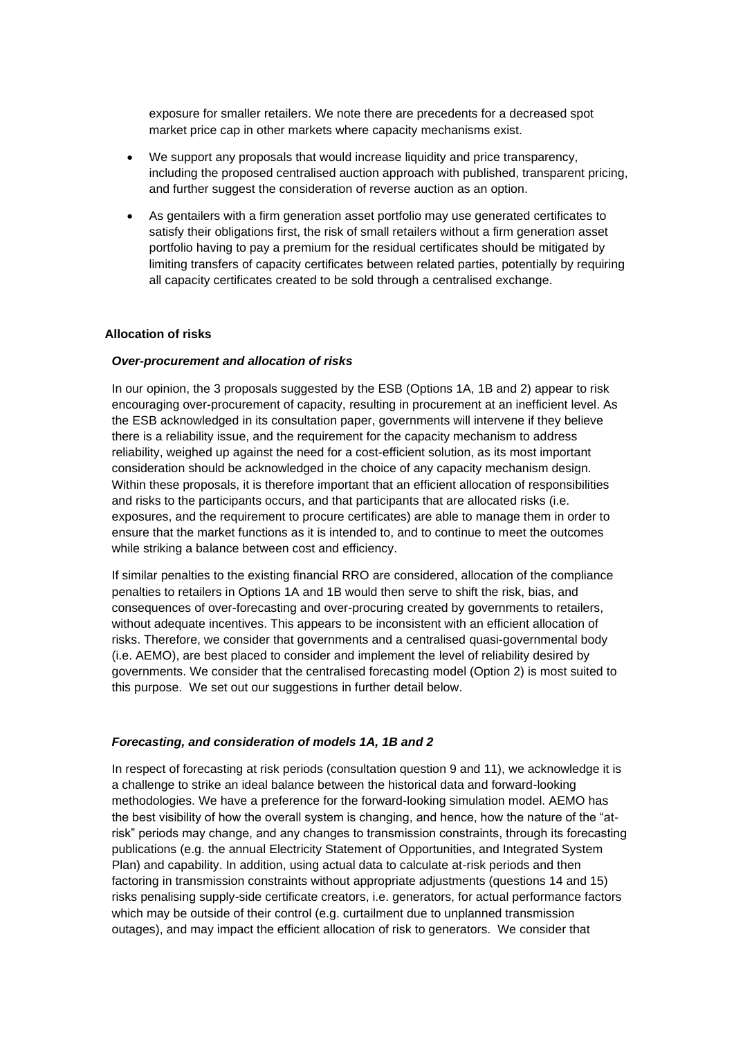exposure for smaller retailers. We note there are precedents for a decreased spot market price cap in other markets where capacity mechanisms exist.

- We support any proposals that would increase liquidity and price transparency, including the proposed centralised auction approach with published, transparent pricing, and further suggest the consideration of reverse auction as an option.
- As gentailers with a firm generation asset portfolio may use generated certificates to satisfy their obligations first, the risk of small retailers without a firm generation asset portfolio having to pay a premium for the residual certificates should be mitigated by limiting transfers of capacity certificates between related parties, potentially by requiring all capacity certificates created to be sold through a centralised exchange.

#### **Allocation of risks**

#### *Over-procurement and allocation of risks*

In our opinion, the 3 proposals suggested by the ESB (Options 1A, 1B and 2) appear to risk encouraging over-procurement of capacity, resulting in procurement at an inefficient level. As the ESB acknowledged in its consultation paper, governments will intervene if they believe there is a reliability issue, and the requirement for the capacity mechanism to address reliability, weighed up against the need for a cost-efficient solution, as its most important consideration should be acknowledged in the choice of any capacity mechanism design. Within these proposals, it is therefore important that an efficient allocation of responsibilities and risks to the participants occurs, and that participants that are allocated risks (i.e. exposures, and the requirement to procure certificates) are able to manage them in order to ensure that the market functions as it is intended to, and to continue to meet the outcomes while striking a balance between cost and efficiency.

If similar penalties to the existing financial RRO are considered, allocation of the compliance penalties to retailers in Options 1A and 1B would then serve to shift the risk, bias, and consequences of over-forecasting and over-procuring created by governments to retailers, without adequate incentives. This appears to be inconsistent with an efficient allocation of risks. Therefore, we consider that governments and a centralised quasi-governmental body (i.e. AEMO), are best placed to consider and implement the level of reliability desired by governments. We consider that the centralised forecasting model (Option 2) is most suited to this purpose. We set out our suggestions in further detail below.

#### *Forecasting, and consideration of models 1A, 1B and 2*

In respect of forecasting at risk periods (consultation question 9 and 11), we acknowledge it is a challenge to strike an ideal balance between the historical data and forward-looking methodologies. We have a preference for the forward-looking simulation model. AEMO has the best visibility of how the overall system is changing, and hence, how the nature of the "atrisk" periods may change, and any changes to transmission constraints, through its forecasting publications (e.g. the annual Electricity Statement of Opportunities, and Integrated System Plan) and capability. In addition, using actual data to calculate at-risk periods and then factoring in transmission constraints without appropriate adjustments (questions 14 and 15) risks penalising supply-side certificate creators, i.e. generators, for actual performance factors which may be outside of their control (e.g. curtailment due to unplanned transmission outages), and may impact the efficient allocation of risk to generators. We consider that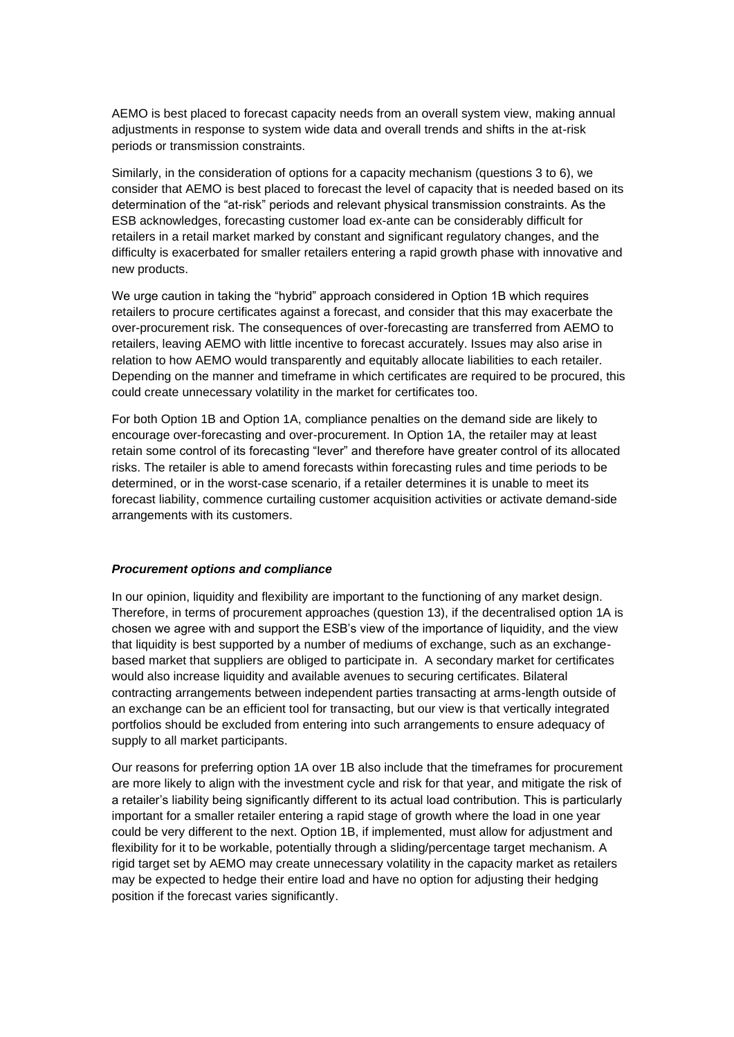AEMO is best placed to forecast capacity needs from an overall system view, making annual adjustments in response to system wide data and overall trends and shifts in the at-risk periods or transmission constraints.

Similarly, in the consideration of options for a capacity mechanism (questions 3 to 6), we consider that AEMO is best placed to forecast the level of capacity that is needed based on its determination of the "at-risk" periods and relevant physical transmission constraints. As the ESB acknowledges, forecasting customer load ex-ante can be considerably difficult for retailers in a retail market marked by constant and significant regulatory changes, and the difficulty is exacerbated for smaller retailers entering a rapid growth phase with innovative and new products.

We urge caution in taking the "hybrid" approach considered in Option 1B which requires retailers to procure certificates against a forecast, and consider that this may exacerbate the over-procurement risk. The consequences of over-forecasting are transferred from AEMO to retailers, leaving AEMO with little incentive to forecast accurately. Issues may also arise in relation to how AEMO would transparently and equitably allocate liabilities to each retailer. Depending on the manner and timeframe in which certificates are required to be procured, this could create unnecessary volatility in the market for certificates too.

For both Option 1B and Option 1A, compliance penalties on the demand side are likely to encourage over-forecasting and over-procurement. In Option 1A, the retailer may at least retain some control of its forecasting "lever" and therefore have greater control of its allocated risks. The retailer is able to amend forecasts within forecasting rules and time periods to be determined, or in the worst-case scenario, if a retailer determines it is unable to meet its forecast liability, commence curtailing customer acquisition activities or activate demand-side arrangements with its customers.

#### *Procurement options and compliance*

In our opinion, liquidity and flexibility are important to the functioning of any market design. Therefore, in terms of procurement approaches (question 13), if the decentralised option 1A is chosen we agree with and support the ESB's view of the importance of liquidity, and the view that liquidity is best supported by a number of mediums of exchange, such as an exchangebased market that suppliers are obliged to participate in. A secondary market for certificates would also increase liquidity and available avenues to securing certificates. Bilateral contracting arrangements between independent parties transacting at arms-length outside of an exchange can be an efficient tool for transacting, but our view is that vertically integrated portfolios should be excluded from entering into such arrangements to ensure adequacy of supply to all market participants.

Our reasons for preferring option 1A over 1B also include that the timeframes for procurement are more likely to align with the investment cycle and risk for that year, and mitigate the risk of a retailer's liability being significantly different to its actual load contribution. This is particularly important for a smaller retailer entering a rapid stage of growth where the load in one year could be very different to the next. Option 1B, if implemented, must allow for adjustment and flexibility for it to be workable, potentially through a sliding/percentage target mechanism. A rigid target set by AEMO may create unnecessary volatility in the capacity market as retailers may be expected to hedge their entire load and have no option for adjusting their hedging position if the forecast varies significantly.